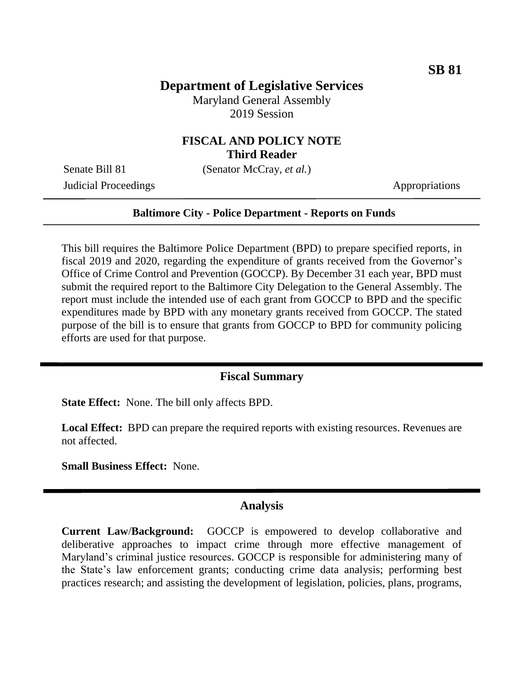# **Department of Legislative Services**

Maryland General Assembly 2019 Session

## **FISCAL AND POLICY NOTE Third Reader**

Senate Bill 81 (Senator McCray, *et al.*)

Judicial Proceedings **Appropriations** Appropriations

### **Baltimore City - Police Department - Reports on Funds**

This bill requires the Baltimore Police Department (BPD) to prepare specified reports, in fiscal 2019 and 2020, regarding the expenditure of grants received from the Governor's Office of Crime Control and Prevention (GOCCP). By December 31 each year, BPD must submit the required report to the Baltimore City Delegation to the General Assembly. The report must include the intended use of each grant from GOCCP to BPD and the specific expenditures made by BPD with any monetary grants received from GOCCP. The stated purpose of the bill is to ensure that grants from GOCCP to BPD for community policing efforts are used for that purpose.

### **Fiscal Summary**

**State Effect:** None. The bill only affects BPD.

**Local Effect:** BPD can prepare the required reports with existing resources. Revenues are not affected.

**Small Business Effect:** None.

### **Analysis**

**Current Law**/**Background:** GOCCP is empowered to develop collaborative and deliberative approaches to impact crime through more effective management of Maryland's criminal justice resources. GOCCP is responsible for administering many of the State's law enforcement grants; conducting crime data analysis; performing best practices research; and assisting the development of legislation, policies, plans, programs,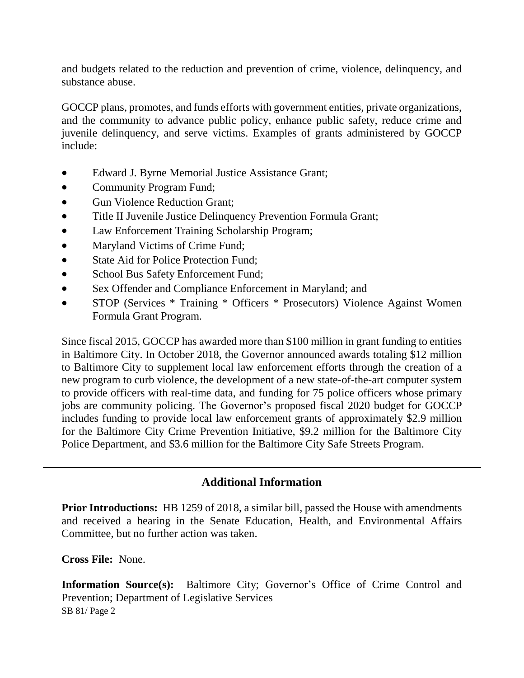and budgets related to the reduction and prevention of crime, violence, delinquency, and substance abuse.

GOCCP plans, promotes, and funds efforts with government entities, private organizations, and the community to advance public policy, enhance public safety, reduce crime and juvenile delinquency, and serve victims. Examples of grants administered by GOCCP include:

- Edward J. Byrne Memorial Justice Assistance Grant;
- Community Program Fund;
- Gun Violence Reduction Grant:
- Title II Juvenile Justice Delinquency Prevention Formula Grant;
- Law Enforcement Training Scholarship Program;
- Maryland Victims of Crime Fund;
- State Aid for Police Protection Fund:
- School Bus Safety Enforcement Fund;
- Sex Offender and Compliance Enforcement in Maryland; and
- STOP (Services \* Training \* Officers \* Prosecutors) Violence Against Women Formula Grant Program.

Since fiscal 2015, GOCCP has awarded more than \$100 million in grant funding to entities in Baltimore City. In October 2018, the Governor announced awards totaling \$12 million to Baltimore City to supplement local law enforcement efforts through the creation of a new program to curb violence, the development of a new state-of-the-art computer system to provide officers with real-time data, and funding for 75 police officers whose primary jobs are community policing. The Governor's proposed fiscal 2020 budget for GOCCP includes funding to provide local law enforcement grants of approximately \$2.9 million for the Baltimore City Crime Prevention Initiative, \$9.2 million for the Baltimore City Police Department, and \$3.6 million for the Baltimore City Safe Streets Program.

## **Additional Information**

**Prior Introductions:** HB 1259 of 2018, a similar bill, passed the House with amendments and received a hearing in the Senate Education, Health, and Environmental Affairs Committee, but no further action was taken.

**Cross File:** None.

SB 81/ Page 2 **Information Source(s):** Baltimore City; Governor's Office of Crime Control and Prevention; Department of Legislative Services